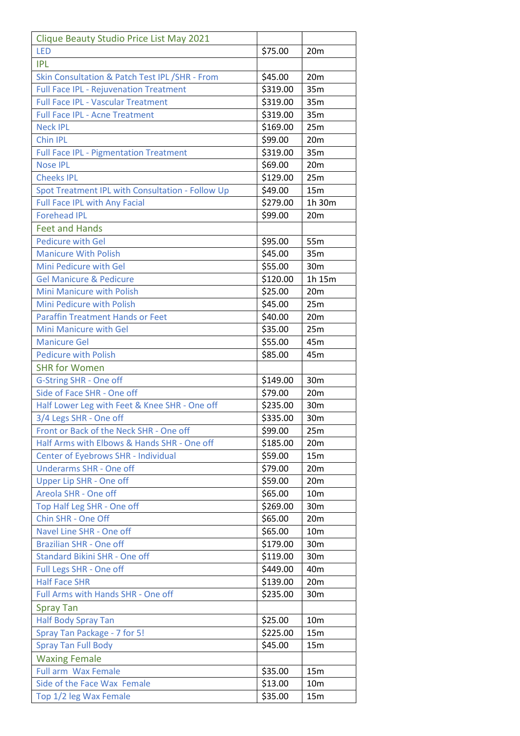| Clique Beauty Studio Price List May 2021         |          |                 |
|--------------------------------------------------|----------|-----------------|
| <b>LED</b>                                       | \$75.00  | 20 <sub>m</sub> |
| <b>IPL</b>                                       |          |                 |
| Skin Consultation & Patch Test IPL / SHR - From  | \$45.00  | 20m             |
| <b>Full Face IPL - Rejuvenation Treatment</b>    | \$319.00 | 35m             |
| <b>Full Face IPL - Vascular Treatment</b>        | \$319.00 | 35m             |
| <b>Full Face IPL - Acne Treatment</b>            | \$319.00 | 35m             |
| <b>Neck IPL</b>                                  | \$169.00 | 25m             |
| <b>Chin IPL</b>                                  | \$99.00  | 20m             |
| <b>Full Face IPL - Pigmentation Treatment</b>    | \$319.00 | 35m             |
| <b>Nose IPL</b>                                  | \$69.00  | 20m             |
| <b>Cheeks IPL</b>                                | \$129.00 | 25m             |
| Spot Treatment IPL with Consultation - Follow Up | \$49.00  | 15m             |
| <b>Full Face IPL with Any Facial</b>             | \$279.00 | 1h 30m          |
| <b>Forehead IPL</b>                              | \$99.00  | 20 <sub>m</sub> |
| <b>Feet and Hands</b>                            |          |                 |
| <b>Pedicure with Gel</b>                         | \$95.00  | 55m             |
| <b>Manicure With Polish</b>                      | \$45.00  | 35m             |
| Mini Pedicure with Gel                           | \$55.00  | 30 <sub>m</sub> |
| <b>Gel Manicure &amp; Pedicure</b>               | \$120.00 | 1h 15m          |
| <b>Mini Manicure with Polish</b>                 | \$25.00  | 20m             |
| Mini Pedicure with Polish                        | \$45.00  | 25m             |
| <b>Paraffin Treatment Hands or Feet</b>          | \$40.00  | 20m             |
| Mini Manicure with Gel                           | \$35.00  | 25m             |
| <b>Manicure Gel</b>                              | \$55.00  | 45m             |
| <b>Pedicure with Polish</b>                      | \$85.00  | 45m             |
| <b>SHR for Women</b>                             |          |                 |
| G-String SHR - One off                           | \$149.00 | 30m             |
| Side of Face SHR - One off                       | \$79.00  | 20 <sub>m</sub> |
| Half Lower Leg with Feet & Knee SHR - One off    | \$235.00 | 30m             |
| 3/4 Legs SHR - One off                           | \$335.00 | 30m             |
| Front or Back of the Neck SHR - One off          | \$99.00  | 25m             |
| Half Arms with Elbows & Hands SHR - One off      | \$185.00 | 20m             |
| Center of Eyebrows SHR - Individual              | \$59.00  | 15 <sub>m</sub> |
| <b>Underarms SHR - One off</b>                   | \$79.00  | 20m             |
| Upper Lip SHR - One off                          | \$59.00  | 20 <sub>m</sub> |
| Areola SHR - One off                             | \$65.00  | 10 <sub>m</sub> |
| Top Half Leg SHR - One off                       | \$269.00 | 30m             |
| Chin SHR - One Off                               | \$65.00  | 20 <sub>m</sub> |
| Navel Line SHR - One off                         | \$65.00  | 10 <sub>m</sub> |
| <b>Brazilian SHR - One off</b>                   | \$179.00 | 30m             |
| Standard Bikini SHR - One off                    | \$119.00 | 30 <sub>m</sub> |
| Full Legs SHR - One off                          | \$449.00 | 40 <sub>m</sub> |
| <b>Half Face SHR</b>                             | \$139.00 | 20 <sub>m</sub> |
| Full Arms with Hands SHR - One off               | \$235.00 | 30m             |
|                                                  |          |                 |
| <b>Spray Tan</b>                                 | \$25.00  |                 |
| <b>Half Body Spray Tan</b>                       |          | 10 <sub>m</sub> |
| Spray Tan Package - 7 for 5!                     | \$225.00 | 15m             |
| <b>Spray Tan Full Body</b>                       | \$45.00  | 15 <sub>m</sub> |
| <b>Waxing Female</b>                             |          |                 |
| <b>Full arm Wax Female</b>                       | \$35.00  | 15m             |
| Side of the Face Wax Female                      | \$13.00  | 10 <sub>m</sub> |
| Top 1/2 leg Wax Female                           | \$35.00  | 15m             |